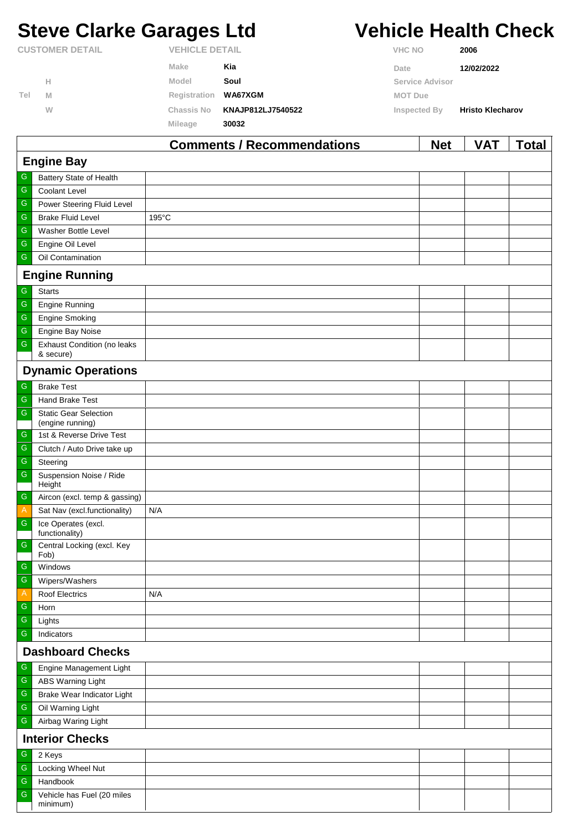# **Steve Clarke Garages Ltd Vehicle Health Check**

|                        |   |                       | Commonte I Desempregations |                | <b>MAL</b>      | $\mathbf{V}$            | $T - 1 - 1$ |
|------------------------|---|-----------------------|----------------------------|----------------|-----------------|-------------------------|-------------|
|                        |   | Mileage               | 30032                      |                |                 |                         |             |
|                        | W | <b>Chassis No</b>     | KNAJP812LJ7540522          | Inspected By   |                 | <b>Hristo Klecharov</b> |             |
| Tel                    | M | Registration WA67XGM  |                            | <b>MOT Due</b> |                 |                         |             |
|                        | н | Model                 | Soul                       |                | Service Advisor |                         |             |
|                        |   | Make                  | Kia                        | Date           |                 | 12/02/2022              |             |
| <b>CUSTOMER DETAIL</b> |   | <b>VEHICLE DETAIL</b> |                            | <b>VHC NO</b>  |                 | 2006                    |             |

|                         |                                                  | <b>Comments / Recommendations</b> | <b>Net</b> | VAT | <b>Total</b> |
|-------------------------|--------------------------------------------------|-----------------------------------|------------|-----|--------------|
|                         | <b>Engine Bay</b>                                |                                   |            |     |              |
| G                       | Battery State of Health                          |                                   |            |     |              |
| ${\mathsf G}$           | <b>Coolant Level</b>                             |                                   |            |     |              |
| ${\mathsf G}$           | Power Steering Fluid Level                       |                                   |            |     |              |
| G                       | <b>Brake Fluid Level</b>                         | 195°C                             |            |     |              |
| ${\mathsf G}$           | Washer Bottle Level                              |                                   |            |     |              |
| ${\mathsf G}$           | Engine Oil Level                                 |                                   |            |     |              |
| ${\mathsf G}$           | Oil Contamination                                |                                   |            |     |              |
|                         | <b>Engine Running</b>                            |                                   |            |     |              |
| G                       | <b>Starts</b>                                    |                                   |            |     |              |
| ${\mathsf G}$           | Engine Running                                   |                                   |            |     |              |
| ${\mathsf G}$           | <b>Engine Smoking</b>                            |                                   |            |     |              |
| $\overline{\mathbb{G}}$ | Engine Bay Noise                                 |                                   |            |     |              |
| ${\mathsf G}$           | <b>Exhaust Condition (no leaks</b><br>& secure)  |                                   |            |     |              |
|                         | <b>Dynamic Operations</b>                        |                                   |            |     |              |
| G                       | <b>Brake Test</b>                                |                                   |            |     |              |
| ${\mathsf G}$           | Hand Brake Test                                  |                                   |            |     |              |
| ${\mathsf G}$           | <b>Static Gear Selection</b><br>(engine running) |                                   |            |     |              |
| G                       | 1st & Reverse Drive Test                         |                                   |            |     |              |
| ${\mathsf G}$           | Clutch / Auto Drive take up                      |                                   |            |     |              |
| $\overline{\mathbb{G}}$ | Steering                                         |                                   |            |     |              |
| ${\mathsf G}$           | Suspension Noise / Ride<br>Height                |                                   |            |     |              |
| ${\mathsf G}$           | Aircon (excl. temp & gassing)                    |                                   |            |     |              |
| $\overline{A}$          | Sat Nav (excl.functionality)                     | N/A                               |            |     |              |
| ${\mathsf G}$           | Ice Operates (excl.<br>functionality)            |                                   |            |     |              |
| ${\mathsf G}$           | Central Locking (excl. Key<br>Fob)               |                                   |            |     |              |
| G                       | Windows                                          |                                   |            |     |              |
| $\overline{G}$          | Wipers/Washers                                   |                                   |            |     |              |
| $\mathsf{A}$            | <b>Roof Electrics</b>                            | N/A                               |            |     |              |
| ${\mathsf G}$           | Horn                                             |                                   |            |     |              |
| ${\mathsf G}$           | Lights                                           |                                   |            |     |              |
| $\overline{\mathbb{G}}$ | Indicators                                       |                                   |            |     |              |
|                         | <b>Dashboard Checks</b>                          |                                   |            |     |              |
| G                       | Engine Management Light                          |                                   |            |     |              |
| ${\mathsf G}$           | <b>ABS Warning Light</b>                         |                                   |            |     |              |
| ${\mathsf G}$           | Brake Wear Indicator Light                       |                                   |            |     |              |
| ${\mathsf G}$           | Oil Warning Light                                |                                   |            |     |              |
| ${\mathsf G}$           | Airbag Waring Light                              |                                   |            |     |              |
|                         | <b>Interior Checks</b>                           |                                   |            |     |              |
| ${\mathsf G}$           | 2 Keys                                           |                                   |            |     |              |
| ${\mathsf G}$           | Locking Wheel Nut                                |                                   |            |     |              |
| ${\mathsf G}$           | Handbook                                         |                                   |            |     |              |
| ${\mathsf G}$           | Vehicle has Fuel (20 miles<br>minimum)           |                                   |            |     |              |